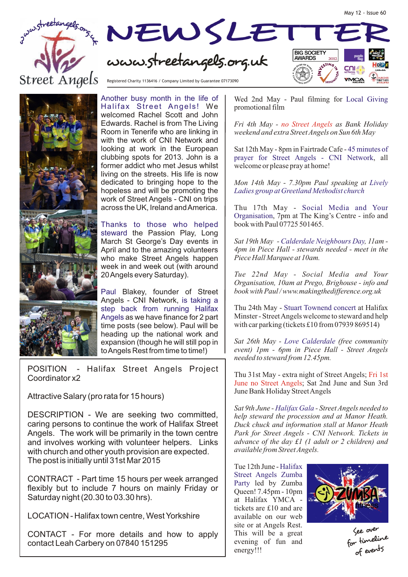



Registered Charity 1136416 / Company Limited by Guarantee 07173090

Another busy month in the life of Halifax Street Angels! We welcomed Rachel Scott and John Edwards. Rachel is from The Living Room in Tenerife who are linking in with the work of CNI Network and looking at work in the European clubbing spots for 2013. John is a former addict who met Jesus whilst living on the streets. His life is now dedicated to bringing hope to the hopeless and will be promoting the work of Street Angels - CNI on trips across the UK, Ireland and America.

Thanks to those who helped steward the Passion Play, Long March St George's Day events in April and to the amazing volunteers who make Street Angels happen week in and week out (with around 20 Angels every Saturday).

Paul Blakey, founder of Street Angels - CNI Network, is taking a step back from running Halifax Angels as we have finance for 2 part time posts (see below). Paul will be heading up the national work and expansion (though he will still pop in to Angels Rest from time to time!)

POSITION - Halifax Street Angels Project Coordinator x2

Attractive Salary (pro rata for 15 hours)

DESCRIPTION - We are seeking two committed, caring persons to continue the work of Halifax Street Angels. The work will be primarily in the town centre and involves working with volunteer helpers. Links with church and other youth provision are expected. The post is initially until 31st Mar 2015

CONTRACT - Part time 15 hours per week arranged flexibly but to include 7 hours on mainly Friday or Saturday night (20.30 to 03.30 hrs).

LOCATION - Halifax town centre, West Yorkshire

CONTACT - For more details and how to apply contact Leah Carbery on 07840 151295

Wed 2nd May - Paul filming for Local Giving promotional film

May 12 - Issue 60

*Fri 4th May - as Bank Holiday no Street Angels weekend and extra Street Angels on Sun 6th May*

Sat 12th May - 8pm in Fairtrade Cafe - 45 minutes of prayer for Street Angels - CNI Network, all welcome or please pray at home!

*Mon 14th May - 7.30pm Paul speaking at Lively Ladies group at Greetland Methodist church*

Thu 17th May - Social Media and Your Organisation, 7pm at The King's Centre - info and book with Paul 07725 501465.

Sat 19th May - Calderdale Neighbours Day, 11am -*4pm in Piece Hall - stewards needed - meet in the Piece Hall Marquee at 10am.* 

*Tue 22nd May - Social Media and Your Organisation, 10am at Prego, Brighouse - info and book with Paul / www.makingthedifference.org.uk* 

Thu 24th May - Stuart Townend concert at Halifax Minster - Street Angels welcome to steward and help with car parking (tickets £10 from 07939 869514)

Sat 26th May - Love Calderdale (free community *event) 1pm - 6pm in Piece Hall - Street Angels needed to steward from 12.45pm.*

Thu 31st May - extra night of Street Angels; Fri 1st June no Street Angels; Sat 2nd June and Sun 3rd June Bank Holiday Street Angels

Sat 9th June - Halifax Gala - Street Angels needed to *help steward the procession and at Manor Heath. Duck chuck and information stall at Manor Heath Park for Street Angels - CNI Network. Tickets in advance of the day £1 (1 adult or 2 children) and available from Street Angels.* 

Tue 12th June - Halifax Party led by Zumba Queen! 7.45pm - 10pm at Halifax YMCA tickets are £10 and are available on our web site or at Angels Rest. This will be a great evening of fun and energy!!! Street Angels Zumba



ver See o for timeline of events